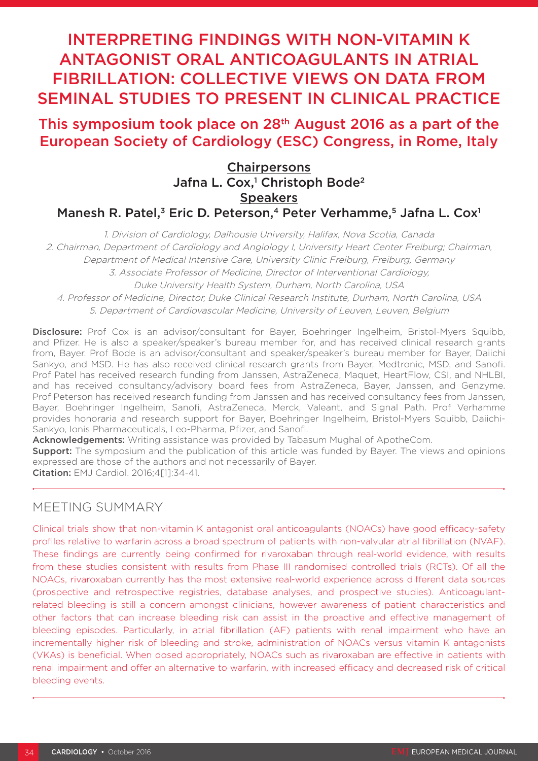# INTERPRETING FINDINGS WITH NON-VITAMIN K ANTAGONIST ORAL ANTICOAGULANTS IN ATRIAL FIBRILLATION: COLLECTIVE VIEWS ON DATA FROM SEMINAL STUDIES TO PRESENT IN CLINICAL PRACTICE

## This symposium took place on 28th August 2016 as a part of the European Society of Cardiology (ESC) Congress, in Rome, Italy

### **Chairpersons** Jafna L. Cox,<sup>1</sup> Christoph Bode<sup>2</sup> **Speakers** Manesh R. Patel,<sup>3</sup> Eric D. Peterson,<sup>4</sup> Peter Verhamme,<sup>5</sup> Jafna L. Cox<sup>1</sup>

1. Division of Cardiology, Dalhousie University, Halifax, Nova Scotia, Canada 2. Chairman, Department of Cardiology and Angiology I, University Heart Center Freiburg; Chairman, Department of Medical Intensive Care, University Clinic Freiburg, Freiburg, Germany 3. Associate Professor of Medicine, Director of Interventional Cardiology, Duke University Health System, Durham, North Carolina, USA 4. Professor of Medicine, Director, Duke Clinical Research Institute, Durham, North Carolina, USA 5. Department of Cardiovascular Medicine, University of Leuven, Leuven, Belgium

Disclosure: Prof Cox is an advisor/consultant for Bayer, Boehringer Ingelheim, Bristol-Myers Squibb, and Pfizer. He is also a speaker/speaker's bureau member for, and has received clinical research grants from, Bayer. Prof Bode is an advisor/consultant and speaker/speaker's bureau member for Bayer, Daiichi Sankyo, and MSD. He has also received clinical research grants from Bayer, Medtronic, MSD, and Sanofi. Prof Patel has received research funding from Janssen, AstraZeneca, Maquet, HeartFlow, CSI, and NHLBI, and has received consultancy/advisory board fees from AstraZeneca, Bayer, Janssen, and Genzyme. Prof Peterson has received research funding from Janssen and has received consultancy fees from Janssen, Bayer, Boehringer Ingelheim, Sanofi, AstraZeneca, Merck, Valeant, and Signal Path. Prof Verhamme provides honoraria and research support for Bayer, Boehringer Ingelheim, Bristol-Myers Squibb, Daiichi-Sankyo, Ionis Pharmaceuticals, Leo-Pharma, Pfizer, and Sanofi.

Acknowledgements: Writing assistance was provided by Tabasum Mughal of ApotheCom.

**Support:** The symposium and the publication of this article was funded by Bayer. The views and opinions expressed are those of the authors and not necessarily of Bayer.

Citation: EMJ Cardiol. 2016;4[1]:34-41.

### MEETING SUMMARY

Clinical trials show that non-vitamin K antagonist oral anticoagulants (NOACs) have good efficacy-safety profiles relative to warfarin across a broad spectrum of patients with non-valvular atrial fibrillation (NVAF). These findings are currently being confirmed for rivaroxaban through real-world evidence, with results from these studies consistent with results from Phase III randomised controlled trials (RCTs). Of all the NOACs, rivaroxaban currently has the most extensive real-world experience across different data sources (prospective and retrospective registries, database analyses, and prospective studies). Anticoagulantrelated bleeding is still a concern amongst clinicians, however awareness of patient characteristics and other factors that can increase bleeding risk can assist in the proactive and effective management of bleeding episodes. Particularly, in atrial fibrillation (AF) patients with renal impairment who have an incrementally higher risk of bleeding and stroke, administration of NOACs versus vitamin K antagonists (VKAs) is beneficial. When dosed appropriately, NOACs such as rivaroxaban are effective in patients with renal impairment and offer an alternative to warfarin, with increased efficacy and decreased risk of critical bleeding events.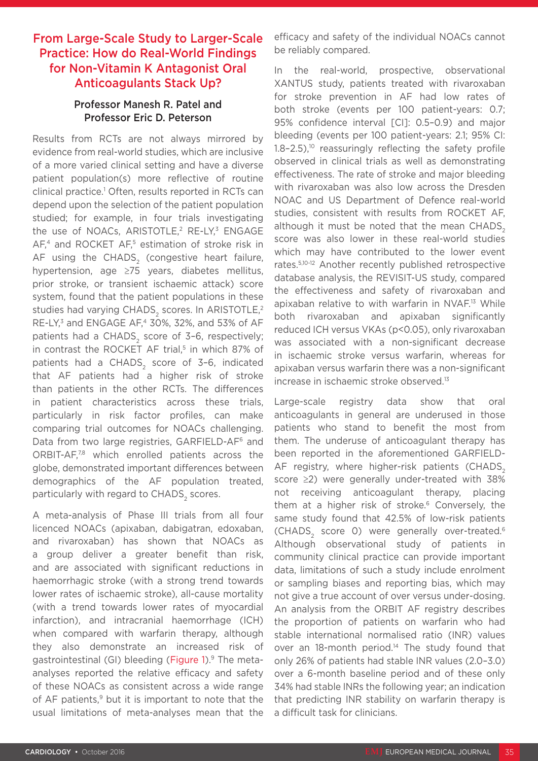### From Large-Scale Study to Larger-Scale Practice: How do Real-World Findings for Non-Vitamin K Antagonist Oral Anticoagulants Stack Up?

#### Professor Manesh R. Patel and Professor Eric D. Peterson

Results from RCTs are not always mirrored by evidence from real-world studies, which are inclusive of a more varied clinical setting and have a diverse patient population(s) more reflective of routine clinical practice.1 Often, results reported in RCTs can depend upon the selection of the patient population studied; for example, in four trials investigating the use of NOACs, ARISTOTLE,<sup>2</sup> RE-LY,<sup>3</sup> ENGAGE AF<sub>4</sub><sup>4</sup> and ROCKET AF<sub>5</sub><sup>5</sup> estimation of stroke risk in AF using the CHADS<sub>2</sub> (congestive heart failure, hypertension, age ≥75 years, diabetes mellitus, prior stroke, or transient ischaemic attack) score system, found that the patient populations in these studies had varying CHADS<sub>2</sub> scores. In ARISTOTLE,<sup>2</sup> RE-LY,3 and ENGAGE AF,4 30%, 32%, and 53% of AF patients had a CHADS<sub>2</sub> score of 3-6, respectively; in contrast the ROCKET AF trial,<sup>5</sup> in which 87% of patients had a CHADS<sub>2</sub> score of 3-6, indicated that AF patients had a higher risk of stroke than patients in the other RCTs. The differences in patient characteristics across these trials, particularly in risk factor profiles, can make comparing trial outcomes for NOACs challenging. Data from two large registries, GARFIELD-AF<sup>6</sup> and ORBIT-AF,7,8 which enrolled patients across the globe, demonstrated important differences between demographics of the AF population treated, particularly with regard to CHADS, scores.

A meta-analysis of Phase III trials from all four licenced NOACs (apixaban, dabigatran, edoxaban, and rivaroxaban) has shown that NOACs as a group deliver a greater benefit than risk, and are associated with significant reductions in haemorrhagic stroke (with a strong trend towards lower rates of ischaemic stroke), all-cause mortality (with a trend towards lower rates of myocardial infarction), and intracranial haemorrhage (ICH) when compared with warfarin therapy, although they also demonstrate an increased risk of gastrointestinal (GI) bleeding (Figure 1).9 The metaanalyses reported the relative efficacy and safety of these NOACs as consistent across a wide range of AF patients, $9$  but it is important to note that the usual limitations of meta-analyses mean that the

efficacy and safety of the individual NOACs cannot be reliably compared.

In the real-world, prospective, observational XANTUS study, patients treated with rivaroxaban for stroke prevention in AF had low rates of both stroke (events per 100 patient-years: 0.7; 95% confidence interval [CI]: 0.5–0.9) and major bleeding (events per 100 patient-years: 2.1; 95% CI:  $1.8-2.5$ ),<sup>10</sup> reassuringly reflecting the safety profile observed in clinical trials as well as demonstrating effectiveness. The rate of stroke and major bleeding with rivaroxaban was also low across the Dresden NOAC and US Department of Defence real-world studies, consistent with results from ROCKET AF, although it must be noted that the mean CHADS<sub>2</sub> score was also lower in these real-world studies which may have contributed to the lower event rates.5,10-12 Another recently published retrospective database analysis, the REVISIT-US study, compared the effectiveness and safety of rivaroxaban and apixaban relative to with warfarin in NVAF.13 While both rivaroxaban and apixaban significantly reduced ICH versus VKAs (p<0.05), only rivaroxaban was associated with a non-significant decrease in ischaemic stroke versus warfarin, whereas for apixaban versus warfarin there was a non-significant increase in ischaemic stroke observed.13

Large-scale registry data show that oral anticoagulants in general are underused in those patients who stand to benefit the most from them. The underuse of anticoagulant therapy has been reported in the aforementioned GARFIELD-AF registry, where higher-risk patients (CHADS, score ≥2) were generally under-treated with 38% not receiving anticoagulant therapy, placing them at a higher risk of stroke. $6$  Conversely, the same study found that 42.5% of low-risk patients (CHADS<sub>2</sub> score 0) were generally over-treated.<sup>6</sup> Although observational study of patients in community clinical practice can provide important data, limitations of such a study include enrolment or sampling biases and reporting bias, which may not give a true account of over versus under-dosing. An analysis from the ORBIT AF registry describes the proportion of patients on warfarin who had stable international normalised ratio (INR) values over an 18-month period.<sup>14</sup> The study found that only 26% of patients had stable INR values (2.0–3.0) over a 6-month baseline period and of these only 34% had stable INRs the following year; an indication that predicting INR stability on warfarin therapy is a difficult task for clinicians.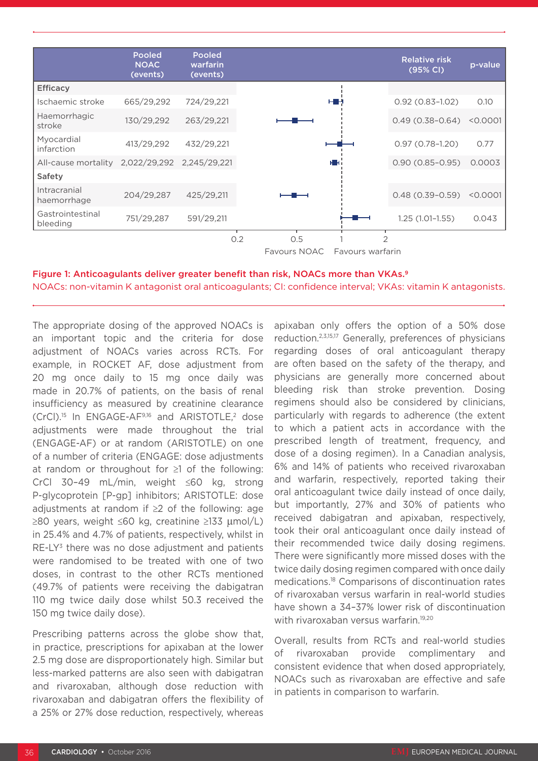|                              | <b>Pooled</b><br><b>NOAC</b><br>(events) | <b>Pooled</b><br>warfarin<br>(events) |
|------------------------------|------------------------------------------|---------------------------------------|
| <b>Efficacy</b>              |                                          |                                       |
| Ischaemic stroke             | 665/29,292                               | 724/29,221                            |
| Haemorrhagic<br>stroke       | 130/29,292                               | 263/29,221                            |
| Myocardial<br>infarction     | 413/29,292                               | 432/29,221                            |
| All-cause mortality          | 2,022/29,292                             | 2,245/29,221                          |
| Safety                       |                                          |                                       |
| Intracranial<br>haemorrhage  | 204/29,287                               | 425/29,211                            |
| Gastrointestinal<br>bleeding | 751/29,287                               | 591/29,211                            |
|                              |                                          | 0.2                                   |
|                              |                                          |                                       |

#### Figure 1: Anticoagulants deliver greater benefit than risk, NOACs more than VKAs.9 NOACs: non-vitamin K antagonist oral anticoagulants; CI: confidence interval; VKAs: vitamin K antagonists.

The appropriate dosing of the approved NOACs is an important topic and the criteria for dose adjustment of NOACs varies across RCTs. For example, in ROCKET AF, dose adjustment from 20 mg once daily to 15 mg once daily was made in 20.7% of patients, on the basis of renal insufficiency as measured by creatinine clearance  $(CrCl).$ <sup>15</sup> In ENGAGE-AF<sup>9,16</sup> and ARISTOTLE,<sup>2</sup> dose adjustments were made throughout the trial (ENGAGE-AF) or at random (ARISTOTLE) on one of a number of criteria (ENGAGE: dose adjustments at random or throughout for ≥1 of the following: CrCl 30–49 mL/min, weight ≤60 kg, strong P-glycoprotein [P-gp] inhibitors; ARISTOTLE: dose adjustments at random if ≥2 of the following: age ≥80 years, weight ≤60 kg, creatinine ≥133 µmol/L) in 25.4% and 4.7% of patients, respectively, whilst in RE-LY<sup>3</sup> there was no dose adjustment and patients were randomised to be treated with one of two doses, in contrast to the other RCTs mentioned (49.7% of patients were receiving the dabigatran 110 mg twice daily dose whilst 50.3 received the 150 mg twice daily dose).

Prescribing patterns across the globe show that, in practice, prescriptions for apixaban at the lower 2.5 mg dose are disproportionately high. Similar but less-marked patterns are also seen with dabigatran and rivaroxaban, although dose reduction with rivaroxaban and dabigatran offers the flexibility of a 25% or 27% dose reduction, respectively, whereas

apixaban only offers the option of a 50% dose reduction.2,3,15,17 Generally, preferences of physicians regarding doses of oral anticoagulant therapy are often based on the safety of the therapy, and physicians are generally more concerned about bleeding risk than stroke prevention. Dosing regimens should also be considered by clinicians, particularly with regards to adherence (the extent to which a patient acts in accordance with the prescribed length of treatment, frequency, and dose of a dosing regimen). In a Canadian analysis, 6% and 14% of patients who received rivaroxaban and warfarin, respectively, reported taking their oral anticoagulant twice daily instead of once daily, but importantly, 27% and 30% of patients who received dabigatran and apixaban, respectively, took their oral anticoagulant once daily instead of their recommended twice daily dosing regimens. There were significantly more missed doses with the twice daily dosing regimen compared with once daily medications.18 Comparisons of discontinuation rates of rivaroxaban versus warfarin in real-world studies have shown a 34–37% lower risk of discontinuation with rivaroxaban versus warfarin.<sup>19,20</sup>

Overall, results from RCTs and real-world studies of rivaroxaban provide complimentary and consistent evidence that when dosed appropriately, NOACs such as rivaroxaban are effective and safe in patients in comparison to warfarin.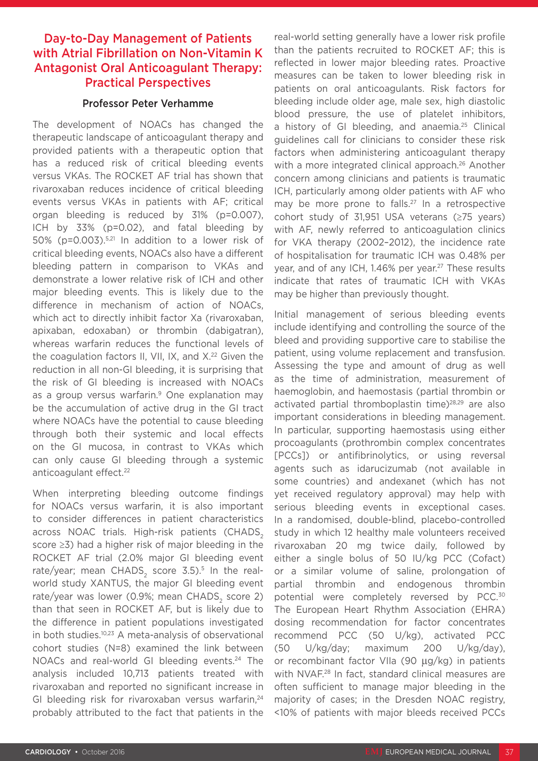### Day-to-Day Management of Patients with Atrial Fibrillation on Non-Vitamin K Antagonist Oral Anticoagulant Therapy: Practical Perspectives

#### Professor Peter Verhamme

The development of NOACs has changed the therapeutic landscape of anticoagulant therapy and provided patients with a therapeutic option that has a reduced risk of critical bleeding events versus VKAs. The ROCKET AF trial has shown that rivaroxaban reduces incidence of critical bleeding events versus VKAs in patients with AF; critical organ bleeding is reduced by 31% (p=0.007), ICH by 33% (p=0.02), and fatal bleeding by 50% (p=0.003).5,21 In addition to a lower risk of critical bleeding events, NOACs also have a different bleeding pattern in comparison to VKAs and demonstrate a lower relative risk of ICH and other major bleeding events. This is likely due to the difference in mechanism of action of NOACs, which act to directly inhibit factor Xa (rivaroxaban, apixaban, edoxaban) or thrombin (dabigatran), whereas warfarin reduces the functional levels of the coagulation factors II, VII, IX, and X.<sup>22</sup> Given the reduction in all non-GI bleeding, it is surprising that the risk of GI bleeding is increased with NOACs as a group versus warfarin.<sup>9</sup> One explanation may be the accumulation of active drug in the GI tract where NOACs have the potential to cause bleeding through both their systemic and local effects on the GI mucosa, in contrast to VKAs which can only cause GI bleeding through a systemic anticoagulant effect.<sup>22</sup>

When interpreting bleeding outcome findings for NOACs versus warfarin, it is also important to consider differences in patient characteristics across NOAC trials. High-risk patients (CHADS) score ≥3) had a higher risk of major bleeding in the ROCKET AF trial (2.0% major GI bleeding event rate/year; mean CHADS<sub>2</sub> score  $3.5$ ).<sup>5</sup> In the realworld study XANTUS, the major GI bleeding event rate/year was lower (0.9%; mean CHADS, score 2) than that seen in ROCKET AF, but is likely due to the difference in patient populations investigated in both studies.<sup>10,23</sup> A meta-analysis of observational cohort studies (N=8) examined the link between NOACs and real-world GI bleeding events.<sup>24</sup> The analysis included 10,713 patients treated with rivaroxaban and reported no significant increase in GI bleeding risk for rivaroxaban versus warfarin.<sup>24</sup> probably attributed to the fact that patients in the

real-world setting generally have a lower risk profile than the patients recruited to ROCKET AF; this is reflected in lower major bleeding rates. Proactive measures can be taken to lower bleeding risk in patients on oral anticoagulants. Risk factors for bleeding include older age, male sex, high diastolic blood pressure, the use of platelet inhibitors, a history of GI bleeding, and anaemia.<sup>25</sup> Clinical guidelines call for clinicians to consider these risk factors when administering anticoagulant therapy with a more integrated clinical approach.<sup>26</sup> Another concern among clinicians and patients is traumatic ICH, particularly among older patients with AF who may be more prone to falls.<sup>27</sup> In a retrospective cohort study of 31,951 USA veterans (≥75 years) with AF, newly referred to anticoagulation clinics for VKA therapy (2002–2012), the incidence rate of hospitalisation for traumatic ICH was 0.48% per year, and of any ICH, 1.46% per year.<sup>27</sup> These results indicate that rates of traumatic ICH with VKAs may be higher than previously thought.

Initial management of serious bleeding events include identifying and controlling the source of the bleed and providing supportive care to stabilise the patient, using volume replacement and transfusion. Assessing the type and amount of drug as well as the time of administration, measurement of haemoglobin, and haemostasis (partial thrombin or activated partial thromboplastin time)28,29 are also important considerations in bleeding management. In particular, supporting haemostasis using either procoagulants (prothrombin complex concentrates [PCCs]) or antifibrinolytics, or using reversal agents such as idarucizumab (not available in some countries) and andexanet (which has not yet received regulatory approval) may help with serious bleeding events in exceptional cases. In a randomised, double-blind, placebo-controlled study in which 12 healthy male volunteers received rivaroxaban 20 mg twice daily, followed by either a single bolus of 50 IU/kg PCC (Cofact) or a similar volume of saline, prolongation of partial thrombin and endogenous thrombin potential were completely reversed by PCC.<sup>30</sup> The European Heart Rhythm Association (EHRA) dosing recommendation for factor concentrates recommend PCC (50 U/kg), activated PCC (50 U/kg/day; maximum 200 U/kg/day), or recombinant factor VIIa (90 µg/kg) in patients with NVAF.<sup>28</sup> In fact, standard clinical measures are often sufficient to manage major bleeding in the majority of cases; in the Dresden NOAC registry, <10% of patients with major bleeds received PCCs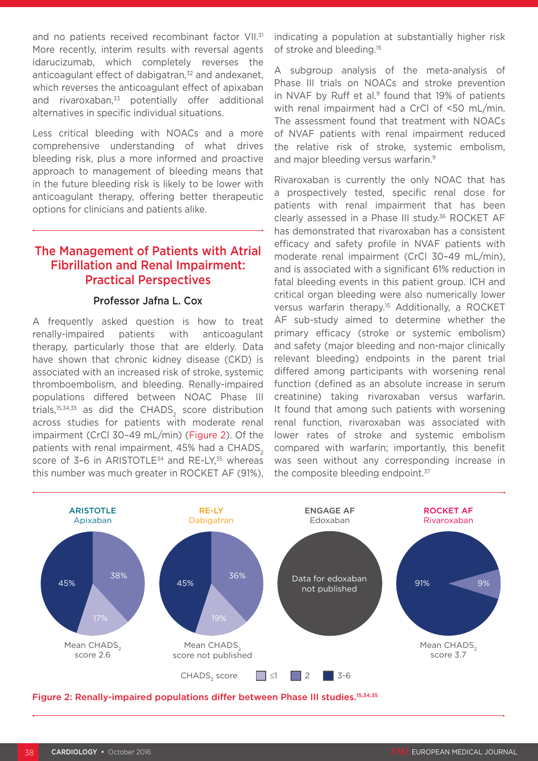and no patients received recombinant factor VII.<sup>31</sup> More recently, interim results with reversal agents idarucizumab, which completely reverses the anticoagulant effect of dabigatran.<sup>32</sup> and andexanet. which reverses the anticoagulant effect of apixaban and rivaroxaban,<sup>33</sup> potentially offer additional alternatives in specific individual situations.

Less critical bleeding with NOACs and a more comprehensive understanding of what drives bleeding risk, plus a more informed and proactive approach to management of bleeding means that in the future bleeding risk is likely to be lower with anticoagulant therapy, offering better therapeutic options for clinicians and patients alike.

### The Management of Patients with Atrial Fibrillation and Renal Impairment: Practical Perspectives

#### Professor Jafna L. Cox

A frequently asked question is how to treat renally-impaired patients with anticoagulant therapy, particularly those that are elderly. Data have shown that chronic kidney disease (CKD) is associated with an increased risk of stroke, systemic thromboembolism, and bleeding. Renally-impaired populations differed between NOAC Phase III trials, $15,34,35$  as did the CHADS<sub>2</sub> score distribution across studies for patients with moderate renal impairment (CrCl 30–49 mL/min) (Figure 2). Of the patients with renal impairment, 45% had a CHADS<sub>2</sub> score of 3-6 in ARISTOTLE $^{34}$  and RE-LY, $^{35}$  whereas this number was much greater in ROCKET AF (91%), indicating a population at substantially higher risk of stroke and bleeding.15

A subgroup analysis of the meta-analysis of Phase III trials on NOACs and stroke prevention in NVAF by Ruff et al.<sup>9</sup> found that 19% of patients with renal impairment had a CrCl of <50 mL/min. The assessment found that treatment with NOACs of NVAF patients with renal impairment reduced the relative risk of stroke, systemic embolism, and major bleeding versus warfarin.<sup>9</sup>

Rivaroxaban is currently the only NOAC that has a prospectively tested, specific renal dose for patients with renal impairment that has been clearly assessed in a Phase III study.<sup>36</sup> ROCKET AF has demonstrated that rivaroxaban has a consistent efficacy and safety profile in NVAF patients with moderate renal impairment (CrCl 30–49 mL/min), and is associated with a significant 61% reduction in fatal bleeding events in this patient group. ICH and critical organ bleeding were also numerically lower versus warfarin therapy.<sup>15</sup> Additionally, a ROCKET AF sub-study aimed to determine whether the primary efficacy (stroke or systemic embolism) and safety (major bleeding and non-major clinically relevant bleeding) endpoints in the parent trial differed among participants with worsening renal function (defined as an absolute increase in serum creatinine) taking rivaroxaban versus warfarin. It found that among such patients with worsening renal function, rivaroxaban was associated with lower rates of stroke and systemic embolism compared with warfarin; importantly, this benefit was seen without any corresponding increase in the composite bleeding endpoint.<sup>37</sup>



Figure 2: Renally-impaired populations differ between Phase III studies.<sup>15,34,35</sup>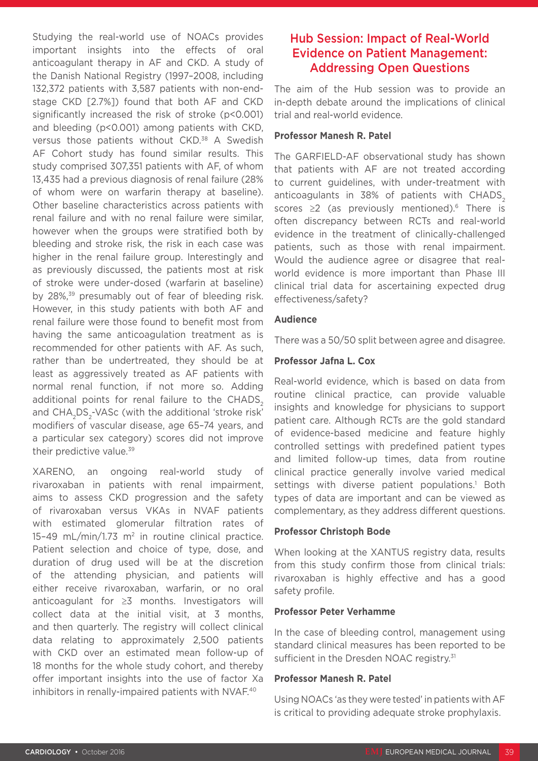Studying the real-world use of NOACs provides important insights into the effects of oral anticoagulant therapy in AF and CKD. A study of the Danish National Registry (1997–2008, including 132,372 patients with 3,587 patients with non-endstage CKD [2.7%]) found that both AF and CKD significantly increased the risk of stroke (p<0.001) and bleeding (p<0.001) among patients with CKD, versus those patients without CKD.<sup>38</sup> A Swedish AF Cohort study has found similar results. This study comprised 307,351 patients with AF, of whom 13,435 had a previous diagnosis of renal failure (28% of whom were on warfarin therapy at baseline). Other baseline characteristics across patients with renal failure and with no renal failure were similar, however when the groups were stratified both by bleeding and stroke risk, the risk in each case was higher in the renal failure group. Interestingly and as previously discussed, the patients most at risk of stroke were under-dosed (warfarin at baseline) by 28%,<sup>39</sup> presumably out of fear of bleeding risk. However, in this study patients with both AF and renal failure were those found to benefit most from having the same anticoagulation treatment as is recommended for other patients with AF. As such, rather than be undertreated, they should be at least as aggressively treated as AF patients with normal renal function, if not more so. Adding additional points for renal failure to the CHADS<sub>2</sub> and CHA<sub>2</sub>DS<sub>2</sub>-VASc (with the additional 'stroke risk' modifiers of vascular disease, age 65–74 years, and a particular sex category) scores did not improve their predictive value.<sup>39</sup>

XARENO, an ongoing real-world study of rivaroxaban in patients with renal impairment, aims to assess CKD progression and the safety of rivaroxaban versus VKAs in NVAF patients with estimated glomerular filtration rates of 15-49 mL/min/1.73 m<sup>2</sup> in routine clinical practice. Patient selection and choice of type, dose, and duration of drug used will be at the discretion of the attending physician, and patients will either receive rivaroxaban, warfarin, or no oral anticoagulant for ≥3 months. Investigators will collect data at the initial visit, at 3 months, and then quarterly. The registry will collect clinical data relating to approximately 2,500 patients with CKD over an estimated mean follow-up of 18 months for the whole study cohort, and thereby offer important insights into the use of factor Xa inhibitors in renally-impaired patients with NVAF.<sup>40</sup>

### Hub Session: Impact of Real-World Evidence on Patient Management: Addressing Open Questions

The aim of the Hub session was to provide an in-depth debate around the implications of clinical trial and real-world evidence.

#### **Professor Manesh R. Patel**

The GARFIELD-AF observational study has shown that patients with AF are not treated according to current guidelines, with under-treatment with anticoagulants in 38% of patients with CHADS. scores  $\geq 2$  (as previously mentioned).<sup>6</sup> There is often discrepancy between RCTs and real-world evidence in the treatment of clinically-challenged patients, such as those with renal impairment. Would the audience agree or disagree that realworld evidence is more important than Phase III clinical trial data for ascertaining expected drug effectiveness/safety?

#### **Audience**

There was a 50/50 split between agree and disagree.

#### **Professor Jafna L. Cox**

Real-world evidence, which is based on data from routine clinical practice, can provide valuable insights and knowledge for physicians to support patient care. Although RCTs are the gold standard of evidence-based medicine and feature highly controlled settings with predefined patient types and limited follow-up times, data from routine clinical practice generally involve varied medical settings with diverse patient populations.<sup>1</sup> Both types of data are important and can be viewed as complementary, as they address different questions.

#### **Professor Christoph Bode**

When looking at the XANTUS registry data, results from this study confirm those from clinical trials: rivaroxaban is highly effective and has a good safety profile.

#### **Professor Peter Verhamme**

In the case of bleeding control, management using standard clinical measures has been reported to be sufficient in the Dresden NOAC registry.<sup>31</sup>

#### **Professor Manesh R. Patel**

Using NOACs 'as they were tested' in patients with AF is critical to providing adequate stroke prophylaxis.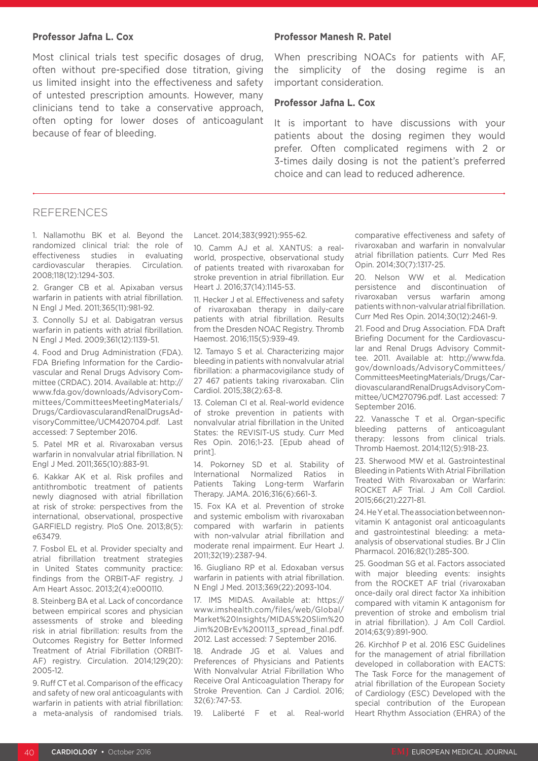#### **Professor Jafna L. Cox**

Most clinical trials test specific dosages of drug, often without pre-specified dose titration, giving us limited insight into the effectiveness and safety of untested prescription amounts. However, many clinicians tend to take a conservative approach, often opting for lower doses of anticoagulant because of fear of bleeding.

#### **Professor Manesh R. Patel**

When prescribing NOACs for patients with AF, the simplicity of the dosing regime is an important consideration.

#### **Professor Jafna L. Cox**

It is important to have discussions with your patients about the dosing regimen they would prefer. Often complicated regimens with 2 or 3-times daily dosing is not the patient's preferred choice and can lead to reduced adherence.

#### **REFERENCES**

1. Nallamothu BK et al. Beyond the randomized clinical trial: the role of effectiveness studies in evaluating cardiovascular therapies. Circulation. 2008;118(12):1294-303.

2. Granger CB et al. Apixaban versus warfarin in patients with atrial fibrillation. N Engl J Med. 2011;365(11):981-92.

3. Connolly SJ et al. Dabigatran versus warfarin in patients with atrial fibrillation. N Engl J Med. 2009;361(12):1139-51.

4. Food and Drug Administration (FDA). FDA Briefing Information for the Cardiovascular and Renal Drugs Advisory Committee (CRDAC). 2014. Available at: http:// www.fda.gov/downloads/AdvisoryCommittees/CommitteesMeetingMaterials/ Drugs/CardiovascularandRenalDrugsAdvisoryCommittee/UCM420704.pdf. Last accessed: 7 September 2016.

5. Patel MR et al. Rivaroxaban versus warfarin in nonvalvular atrial fibrillation. N Engl J Med. 2011;365(10):883-91.

6. Kakkar AK et al. Risk profiles and antithrombotic treatment of patients newly diagnosed with atrial fibrillation at risk of stroke: perspectives from the international, observational, prospective GARFIELD registry. PloS One. 2013;8(5): e63479.

7. Fosbol EL et al. Provider specialty and atrial fibrillation treatment strategies in United States community practice: findings from the ORBIT-AF registry. J Am Heart Assoc. 2013;2(4):e000110.

8. Steinberg BA et al. Lack of concordance between empirical scores and physician assessments of stroke and bleeding risk in atrial fibrillation: results from the Outcomes Registry for Better Informed Treatment of Atrial Fibrillation (ORBIT-AF) registry. Circulation. 2014;129(20): 2005-12.

9. Ruff CT et al. Comparison of the efficacy and safety of new oral anticoagulants with warfarin in patients with atrial fibrillation: a meta-analysis of randomised trials.

Lancet. 2014;383(9921):955-62.

10. Camm AJ et al. XANTUS: a realworld, prospective, observational study of patients treated with rivaroxaban for stroke prevention in atrial fibrillation. Eur Heart J. 2016;37(14):1145-53.

11. Hecker J et al. Effectiveness and safety of rivaroxaban therapy in daily-care patients with atrial fibrillation. Results from the Dresden NOAC Registry. Thromb Haemost. 2016;115(5):939-49.

12. Tamayo S et al. Characterizing major bleeding in patients with nonvalvular atrial fibrillation: a pharmacovigilance study of 27 467 patients taking rivaroxaban. Clin Cardiol. 2015;38(2):63-8.

13. Coleman CI et al. Real-world evidence of stroke prevention in patients with nonvalvular atrial fibrillation in the United States: the REVISIT-US study. Curr Med Res Opin. 2016;1-23. [Epub ahead of print].

14. Pokorney SD et al. Stability of International Normalized Ratios in Patients Taking Long-term Warfarin Therapy. JAMA. 2016;316(6):661-3.

15. Fox KA et al. Prevention of stroke and systemic embolism with rivaroxaban compared with warfarin in patients with non-valvular atrial fibrillation and moderate renal impairment. Eur Heart J. 2011;32(19):2387-94.

16. Giugliano RP et al. Edoxaban versus warfarin in patients with atrial fibrillation. N Engl J Med. 2013;369(22):2093-104.

17. IMS MIDAS. Available at: https:// www.imshealth.com/files/web/Global/ Market%20Insights/MIDAS%20Slim%20 Jim%20BrEv%200113\_spread\_final.pdf. 2012. Last accessed: 7 September 2016.

18. Andrade JG et al. Values and Preferences of Physicians and Patients With Nonvalvular Atrial Fibrillation Who Receive Oral Anticoagulation Therapy for Stroke Prevention. Can J Cardiol. 2016; 32(6):747-53.

19. Laliberté F et al. Real-world

comparative effectiveness and safety of rivaroxaban and warfarin in nonvalvular atrial fibrillation patients. Curr Med Res Opin. 2014;30(7):1317-25.

20. Nelson WW et al. Medication persistence and discontinuation of rivaroxaban versus warfarin among patients with non-valvular atrial fibrillation. Curr Med Res Opin. 2014;30(12):2461-9.

21. Food and Drug Association. FDA Draft Briefing Document for the Cardiovascular and Renal Drugs Advisory Committee. 2011. Available at: http://www.fda. gov/downloads/AdvisoryCommittees/ CommitteesMeetingMaterials/Drugs/CardiovascularandRenalDrugsAdvisoryCommittee/UCM270796.pdf. Last accessed: 7 September 2016.

22. Vanassche T et al. Organ-specific bleeding patterns of anticoagulant therapy: lessons from clinical trials. Thromb Haemost. 2014;112(5):918-23.

23. Sherwood MW et al. Gastrointestinal Bleeding in Patients With Atrial Fibrillation Treated With Rivaroxaban or Warfarin: ROCKET AF Trial. J Am Coll Cardiol. 2015;66(21):2271-81.

24. He Y et al. The association between nonvitamin K antagonist oral anticoagulants and gastrointestinal bleeding: a metaanalysis of observational studies. Br J Clin Pharmacol. 2016;82(1):285-300.

25. Goodman SG et al. Factors associated with major bleeding events: insights from the ROCKET AF trial (rivaroxaban once-daily oral direct factor Xa inhibition compared with vitamin K antagonism for prevention of stroke and embolism trial in atrial fibrillation). J Am Coll Cardiol. 2014;63(9):891-900.

26. Kirchhof P et al. 2016 ESC Guidelines for the management of atrial fibrillation developed in collaboration with EACTS: The Task Force for the management of atrial fibrillation of the European Society of Cardiology (ESC) Developed with the special contribution of the European Heart Rhythm Association (EHRA) of the